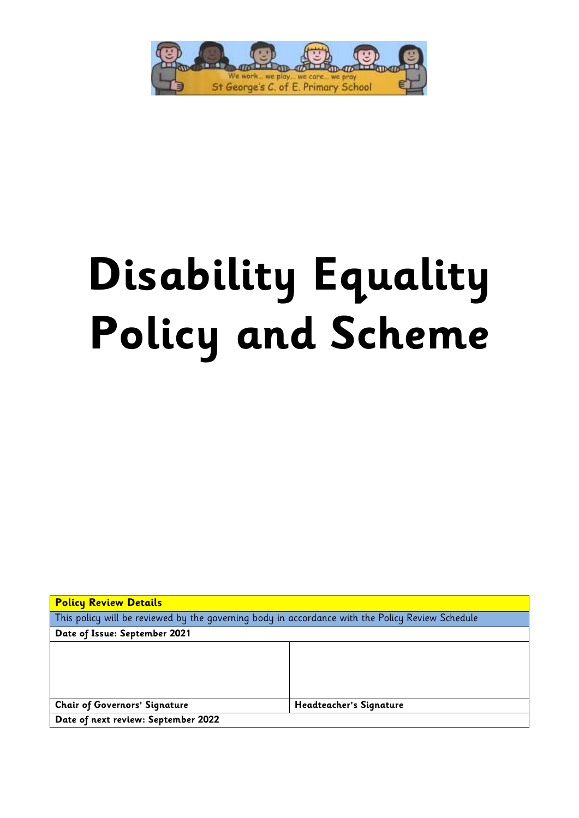

# **Disability Equality Policy and Scheme**

| <b>Policy Review Details</b>                                                                     |                         |
|--------------------------------------------------------------------------------------------------|-------------------------|
| This policy will be reviewed by the governing body in accordance with the Policy Review Schedule |                         |
| Date of Issue: September 2021                                                                    |                         |
|                                                                                                  |                         |
|                                                                                                  |                         |
|                                                                                                  |                         |
|                                                                                                  |                         |
| <b>Chair of Governors' Signature</b>                                                             | Headteacher's Signature |
| Date of next review: September 2022                                                              |                         |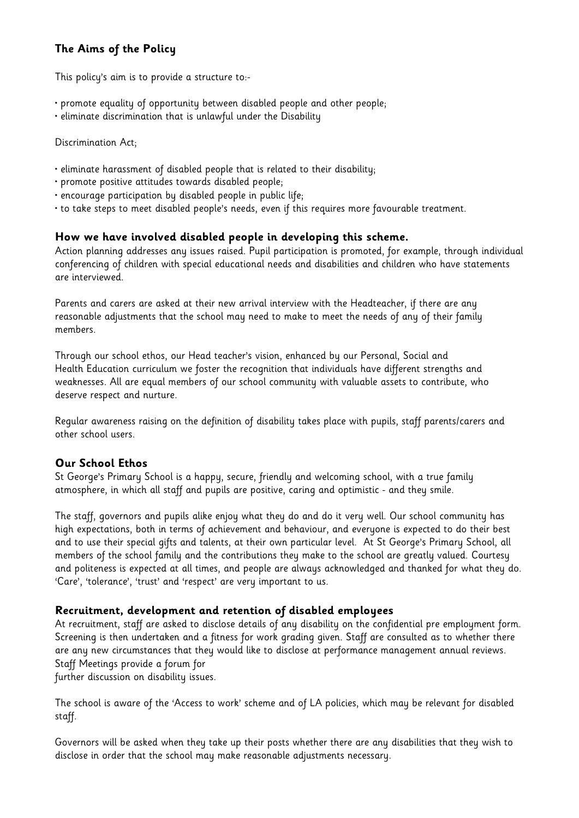## **The Aims of the Policy**

This policy's aim is to provide a structure to:-

- promote equality of opportunity between disabled people and other people;
- eliminate discrimination that is unlawful under the Disability

Discrimination Act;

- eliminate harassment of disabled people that is related to their disability;
- promote positive attitudes towards disabled people;
- encourage participation by disabled people in public life;
- to take steps to meet disabled people's needs, even if this requires more favourable treatment.

### **How we have involved disabled people in developing this scheme.**

Action planning addresses any issues raised. Pupil participation is promoted, for example, through individual conferencing of children with special educational needs and disabilities and children who have statements are interviewed.

Parents and carers are asked at their new arrival interview with the Headteacher, if there are any reasonable adjustments that the school may need to make to meet the needs of any of their family members.

Through our school ethos, our Head teacher's vision, enhanced by our Personal, Social and Health Education curriculum we foster the recognition that individuals have different strengths and weaknesses. All are equal members of our school community with valuable assets to contribute, who deserve respect and nurture.

Regular awareness raising on the definition of disability takes place with pupils, staff parents/carers and other school users.

### **Our School Ethos**

St George's Primary School is a happy, secure, friendly and welcoming school, with a true family atmosphere, in which all staff and pupils are positive, caring and optimistic - and they smile.

The staff, governors and pupils alike enjoy what they do and do it very well. Our school community has high expectations, both in terms of achievement and behaviour, and everyone is expected to do their best and to use their special gifts and talents, at their own particular level. At St George's Primary School, all members of the school family and the contributions they make to the school are greatly valued. Courtesy and politeness is expected at all times, and people are always acknowledged and thanked for what they do. 'Care', 'tolerance', 'trust' and 'respect' are very important to us.

### **Recruitment, development and retention of disabled employees**

At recruitment, staff are asked to disclose details of any disability on the confidential pre employment form. Screening is then undertaken and a fitness for work grading given. Staff are consulted as to whether there are any new circumstances that they would like to disclose at performance management annual reviews. Staff Meetings provide a forum for

further discussion on disability issues.

The school is aware of the 'Access to work' scheme and of LA policies, which may be relevant for disabled staff.

Governors will be asked when they take up their posts whether there are any disabilities that they wish to disclose in order that the school may make reasonable adjustments necessary.